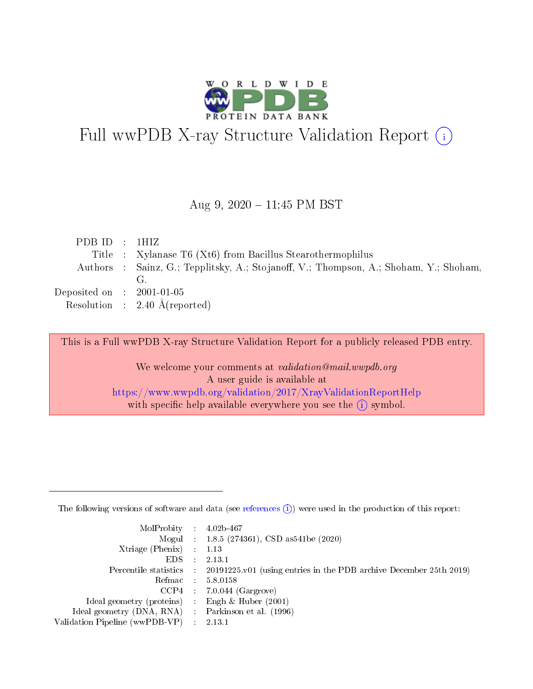

# Full wwPDB X-ray Structure Validation Report (i)

### Aug 9,  $2020 - 11:45$  PM BST

| PDBID : 1HIZ                |                                                                                       |
|-----------------------------|---------------------------------------------------------------------------------------|
|                             | Title : Xylanase T6 (Xt6) from Bacillus Stearothermophilus                            |
|                             | Authors : Sainz, G.; Tepplitsky, A.; Stojanoff, V.; Thompson, A.; Shoham, Y.; Shoham, |
|                             | G <sub>r</sub>                                                                        |
| Deposited on : $2001-01-05$ |                                                                                       |
|                             | Resolution : $2.40 \text{ Å}$ (reported)                                              |

This is a Full wwPDB X-ray Structure Validation Report for a publicly released PDB entry.

We welcome your comments at validation@mail.wwpdb.org A user guide is available at <https://www.wwpdb.org/validation/2017/XrayValidationReportHelp> with specific help available everywhere you see the  $(i)$  symbol.

The following versions of software and data (see [references](https://www.wwpdb.org/validation/2017/XrayValidationReportHelp#references)  $(1)$ ) were used in the production of this report:

| $MolProbability$ 4.02b-467                          |                             |                                                                                            |
|-----------------------------------------------------|-----------------------------|--------------------------------------------------------------------------------------------|
|                                                     |                             | Mogul : $1.8.5$ (274361), CSD as 541be (2020)                                              |
| Xtriage (Phenix)                                    |                             | 1.13                                                                                       |
| EDS.                                                | $\mathcal{L}$               | 2.13.1                                                                                     |
|                                                     |                             | Percentile statistics : 20191225.v01 (using entries in the PDB archive December 25th 2019) |
|                                                     |                             | Refmac $5.8.0158$                                                                          |
| CCP4                                                |                             | $7.0.044$ (Gargrove)                                                                       |
| Ideal geometry (proteins)                           | $\mathcal{L}^{\mathcal{L}}$ | Engh $\&$ Huber (2001)                                                                     |
| Ideal geometry (DNA, RNA) : Parkinson et al. (1996) |                             |                                                                                            |
| Validation Pipeline (wwPDB-VP)                      | $\sim 10^{11}$ m $^{-1}$    | 2.13.1                                                                                     |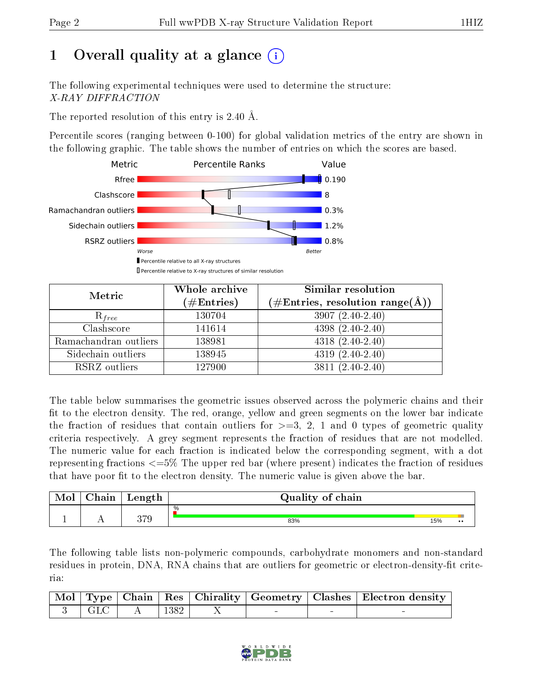# 1 [O](https://www.wwpdb.org/validation/2017/XrayValidationReportHelp#overall_quality)verall quality at a glance  $(i)$

The following experimental techniques were used to determine the structure: X-RAY DIFFRACTION

The reported resolution of this entry is 2.40 Å.

Percentile scores (ranging between 0-100) for global validation metrics of the entry are shown in the following graphic. The table shows the number of entries on which the scores are based.



| Metric                | Whole archive<br>$(\#\mathrm{Entries})$ | Similar resolution<br>$(\#\text{Entries}, \, \text{resolution} \, \, \text{range}(\textup{\AA}))$ |  |  |
|-----------------------|-----------------------------------------|---------------------------------------------------------------------------------------------------|--|--|
| $R_{free}$            | 130704                                  | $3907(2.40-2.40)$                                                                                 |  |  |
| Clashscore            | 141614                                  | $4398(2.40-2.40)$                                                                                 |  |  |
| Ramachandran outliers | 138981                                  | $4318(2.40-2.40)$                                                                                 |  |  |
| Sidechain outliers    | 138945                                  | $4319(2.40-2.40)$                                                                                 |  |  |
| RSRZ outliers         | 127900                                  | $3811(2.40-2.40)$                                                                                 |  |  |

The table below summarises the geometric issues observed across the polymeric chains and their fit to the electron density. The red, orange, yellow and green segments on the lower bar indicate the fraction of residues that contain outliers for  $>=3, 2, 1$  and 0 types of geometric quality criteria respectively. A grey segment represents the fraction of residues that are not modelled. The numeric value for each fraction is indicated below the corresponding segment, with a dot representing fractions <=5% The upper red bar (where present) indicates the fraction of residues that have poor fit to the electron density. The numeric value is given above the bar.

| Mol | ${\bf Chain}$ | Length       | Quality of chain |     |                  |
|-----|---------------|--------------|------------------|-----|------------------|
|     |               |              | $\frac{0}{0}$    |     |                  |
|     |               | 270<br>ບ ເ ວ | 83%              | 15% | $\bullet\bullet$ |

The following table lists non-polymeric compounds, carbohydrate monomers and non-standard residues in protein, DNA, RNA chains that are outliers for geometric or electron-density-fit criteria:

|  |                                                                                               |  |  | Mol   Type   Chain   Res   Chirality   Geometry   Clashes   Electron density |
|--|-----------------------------------------------------------------------------------------------|--|--|------------------------------------------------------------------------------|
|  | $\begin{array}{ c c c c c c c c } \hline 3 & \text{GLC} & \text{A} & 1382 \hline \end{array}$ |  |  |                                                                              |

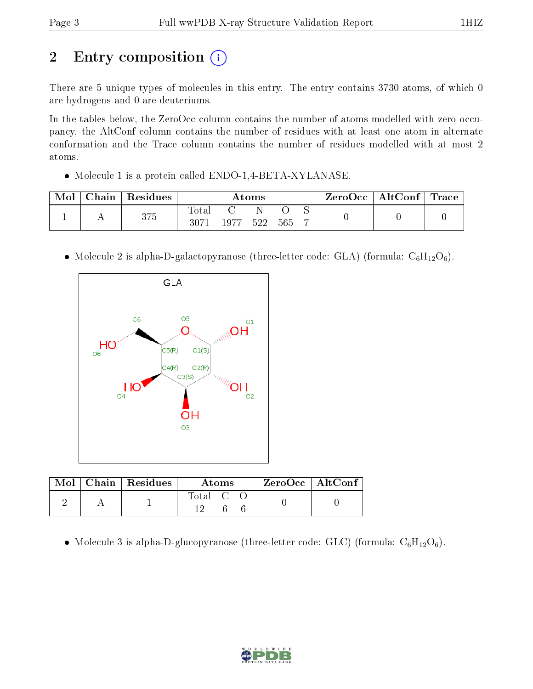# 2 Entry composition (i)

There are 5 unique types of molecules in this entry. The entry contains 3730 atoms, of which 0 are hydrogens and 0 are deuteriums.

In the tables below, the ZeroOcc column contains the number of atoms modelled with zero occupancy, the AltConf column contains the number of residues with at least one atom in alternate conformation and the Trace column contains the number of residues modelled with at most 2 atoms.

• Molecule 1 is a protein called ENDO-1,4-BETA-XYLANASE.

| Mol | $\operatorname{\mathsf{Chain}}$ | Residues | Atoms             |      |     | ZeroOcc | $\mid$ AltConf $\mid$ Trace |  |  |  |
|-----|---------------------------------|----------|-------------------|------|-----|---------|-----------------------------|--|--|--|
|     |                                 | 375      | Total<br>$3071\,$ | 1977 | 522 | 565     |                             |  |  |  |

• Molecule 2 is alpha-D-galactopyranose (three-letter code: GLA) (formula:  $C_6H_{12}O_6$ ).



| Mol | Chain   Residues | Atoms            | $ZeroOcc \mid AltConf$ |  |
|-----|------------------|------------------|------------------------|--|
|     |                  | Total C<br>1 6 1 |                        |  |

• Molecule 3 is alpha-D-glucopyranose (three-letter code: GLC) (formula:  $C_6H_{12}O_6$ ).

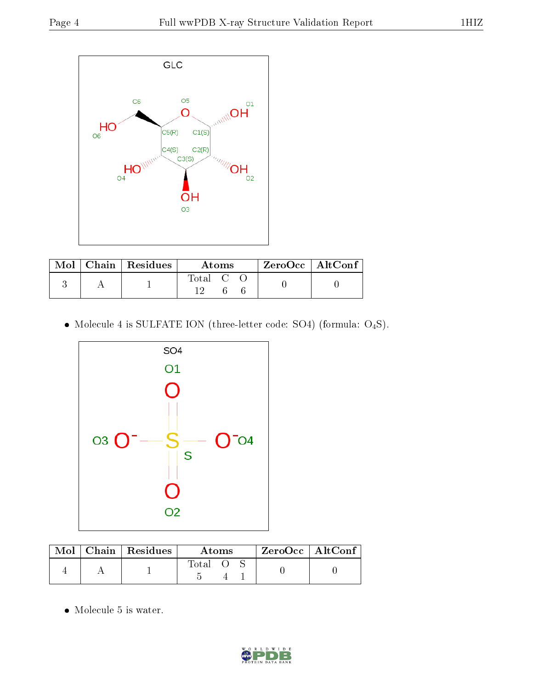

|  | Mol   Chain   Residues | Atoms                                                   | $\rm ZeroOcc$   Alt $\rm Conf$ |
|--|------------------------|---------------------------------------------------------|--------------------------------|
|  |                        | $\begin{bmatrix} \text{Total} & \text{C} \end{bmatrix}$ |                                |

 $\bullet$  Molecule 4 is SULFATE ION (three-letter code: SO4) (formula:  $\mathrm{O}_4\mathrm{S}$ ).



| Mol | $\mid$ Chain $\mid$ Residues | Atoms |  |  | $ZeroOcc$   AltConf |  |
|-----|------------------------------|-------|--|--|---------------------|--|
|     |                              | Total |  |  |                     |  |

 $\bullet\,$  Molecule 5 is water.

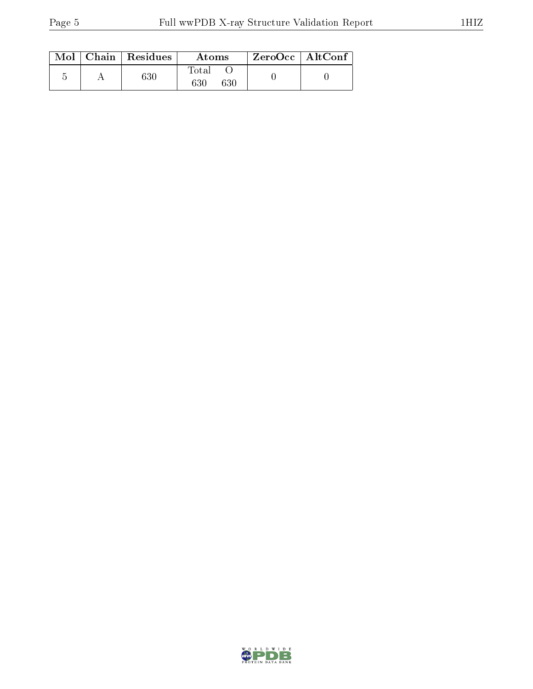|  | $\text{Mol}$   Chain   Residues<br>Atoms |                                   | $ZeroOcc$   AltConf |  |
|--|------------------------------------------|-----------------------------------|---------------------|--|
|  | $_{630}$                                 | $\rm Total$<br>$630\,$<br>$630\,$ |                     |  |

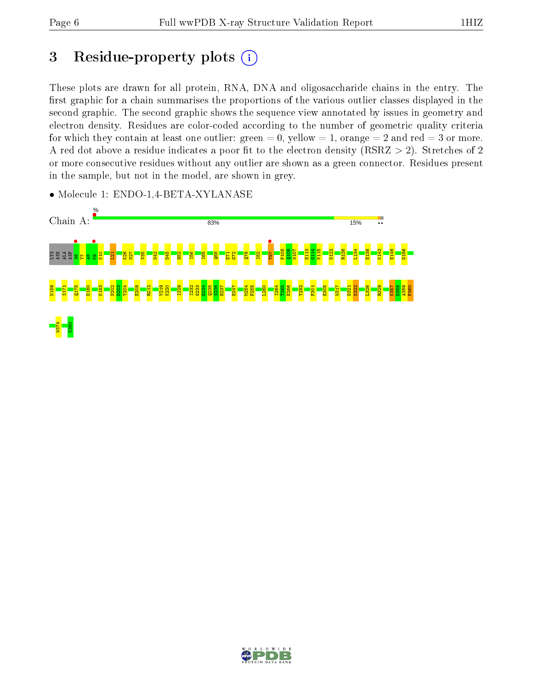# 3 Residue-property plots  $(i)$

These plots are drawn for all protein, RNA, DNA and oligosaccharide chains in the entry. The first graphic for a chain summarises the proportions of the various outlier classes displayed in the second graphic. The second graphic shows the sequence view annotated by issues in geometry and electron density. Residues are color-coded according to the number of geometric quality criteria for which they contain at least one outlier: green  $= 0$ , yellow  $= 1$ , orange  $= 2$  and red  $= 3$  or more. A red dot above a residue indicates a poor fit to the electron density ( $RSRZ > 2$ ). Stretches of 2 or more consecutive residues without any outlier are shown as a green connector. Residues present in the sample, but not in the model, are shown in grey.

• Molecule 1: ENDO-1,4-BETA-XYLANASE



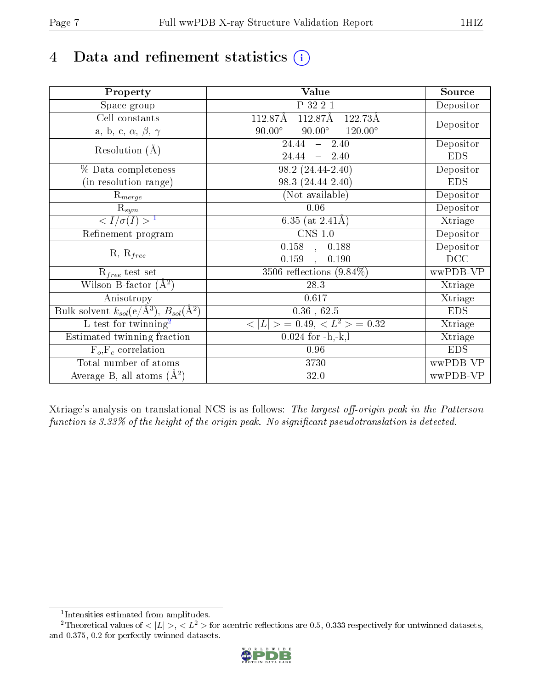# 4 Data and refinement statistics  $(i)$

| Property                                                             | Value                                              | Source     |
|----------------------------------------------------------------------|----------------------------------------------------|------------|
| Space group                                                          | P 32 2 1                                           | Depositor  |
| Cell constants                                                       | 112.87Å<br>112.87Å<br>122.73Å                      |            |
| a, b, c, $\alpha$ , $\beta$ , $\gamma$                               | $90.00^\circ$<br>$90.00^\circ$<br>$120.00^{\circ}$ | Depositor  |
| Resolution $(A)$                                                     | 24.44<br>$-2.40$                                   | Depositor  |
|                                                                      | $24.44 = 2.40$                                     | <b>EDS</b> |
| % Data completeness                                                  | 98.2 (24.44-2.40)                                  | Depositor  |
| (in resolution range)                                                | 98.3 (24.44-2.40)                                  | <b>EDS</b> |
| $\mathrm{R}_{merge}$                                                 | (Not available)                                    | Depositor  |
| $\mathrm{R}_{sym}$                                                   | 0.06                                               | Depositor  |
| $\langle I/\sigma(I) \rangle^{-1}$                                   | 6.35 (at $2.41\text{\AA}$ )                        | Xtriage    |
| Refinement program                                                   | $\overline{\text{CNS} 1.0}$                        | Depositor  |
|                                                                      | $\overline{0.158}$ ,<br>0.188                      | Depositor  |
| $R, R_{free}$                                                        | 0.159<br>0.190<br>$\ddot{\phantom{a}}$             | DCC        |
| $R_{free}$ test set                                                  | 3506 reflections $(9.84\%)$                        | wwPDB-VP   |
| Wilson B-factor $(A^2)$                                              | 28.3                                               | Xtriage    |
| Anisotropy                                                           | 0.617                                              | Xtriage    |
| Bulk solvent $k_{sol}(e/\mathring{A}^3)$ , $B_{sol}(\mathring{A}^2)$ | $0.36$ , $62.5$                                    | <b>EDS</b> |
| $\overline{L-test for}$ twinning <sup>2</sup>                        | $< L >$ = 0.49, $< L2$ = 0.32                      | Xtriage    |
| Estimated twinning fraction                                          | $0.024$ for $-h,-k,l$                              | Xtriage    |
| $F_o, F_c$ correlation                                               | 0.96                                               | <b>EDS</b> |
| Total number of atoms                                                | 3730                                               | wwPDB-VP   |
| Average B, all atoms $(A^2)$                                         | 32.0                                               | wwPDB-VP   |

Xtriage's analysis on translational NCS is as follows: The largest off-origin peak in the Patterson function is  $3.33\%$  of the height of the origin peak. No significant pseudotranslation is detected.

<sup>&</sup>lt;sup>2</sup>Theoretical values of  $\langle |L| \rangle$ ,  $\langle L^2 \rangle$  for acentric reflections are 0.5, 0.333 respectively for untwinned datasets, and 0.375, 0.2 for perfectly twinned datasets.



<span id="page-6-1"></span><span id="page-6-0"></span><sup>1</sup> Intensities estimated from amplitudes.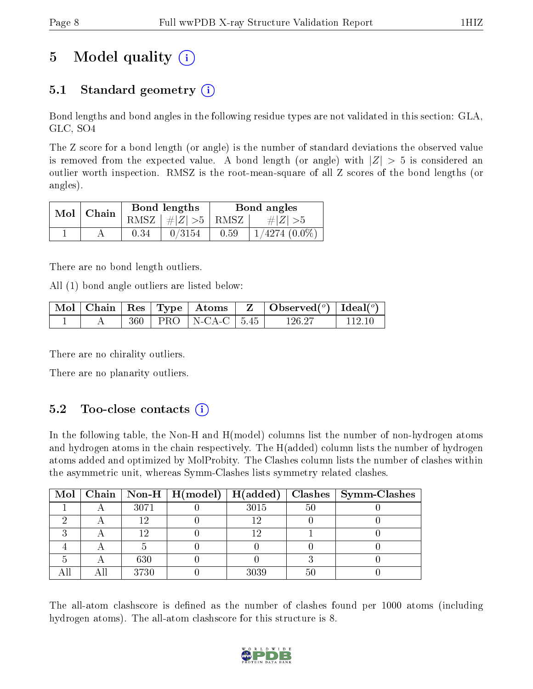# 5 Model quality  $(i)$

# 5.1 Standard geometry (i)

Bond lengths and bond angles in the following residue types are not validated in this section: GLA, GLC, SO4

The Z score for a bond length (or angle) is the number of standard deviations the observed value is removed from the expected value. A bond length (or angle) with  $|Z| > 5$  is considered an outlier worth inspection. RMSZ is the root-mean-square of all Z scores of the bond lengths (or angles).

| $Mol$   Chain |      | Bond lengths         | Bond angles |                    |  |
|---------------|------|----------------------|-------------|--------------------|--|
|               |      | RMSZ $ #Z  > 5$ RMSZ |             | $\# Z  > 5$        |  |
|               | 0.34 | 0/3154               | 0.59        | $1/4274$ $(0.0\%)$ |  |

There are no bond length outliers.

All (1) bond angle outliers are listed below:

|  |  |                             | $\mid$ Mol $\mid$ Chain $\mid$ Res $\mid$ Type $\mid$ Atoms $\mid$ Z $\mid$ Observed( <sup>o</sup> ) $\mid$ Ideal( <sup>o</sup> ) |        |
|--|--|-----------------------------|-----------------------------------------------------------------------------------------------------------------------------------|--------|
|  |  | $360$   PRO   N-CA-C   5.45 | 126.27                                                                                                                            | 112.10 |

There are no chirality outliers.

There are no planarity outliers.

### $5.2$  Too-close contacts  $(i)$

In the following table, the Non-H and H(model) columns list the number of non-hydrogen atoms and hydrogen atoms in the chain respectively. The H(added) column lists the number of hydrogen atoms added and optimized by MolProbity. The Clashes column lists the number of clashes within the asymmetric unit, whereas Symm-Clashes lists symmetry related clashes.

|  |      | Mol   Chain   Non-H   H(model)   H(added) |      |    | $\mid$ Clashes $\mid$ Symm-Clashes |
|--|------|-------------------------------------------|------|----|------------------------------------|
|  | 3071 |                                           | 3015 | 50 |                                    |
|  |      |                                           | 19   |    |                                    |
|  | 1 ດ  |                                           | 1 ດ  |    |                                    |
|  |      |                                           |      |    |                                    |
|  | 630  |                                           |      |    |                                    |
|  | 3730 |                                           | 3039 | 50 |                                    |

The all-atom clashscore is defined as the number of clashes found per 1000 atoms (including hydrogen atoms). The all-atom clashscore for this structure is 8.

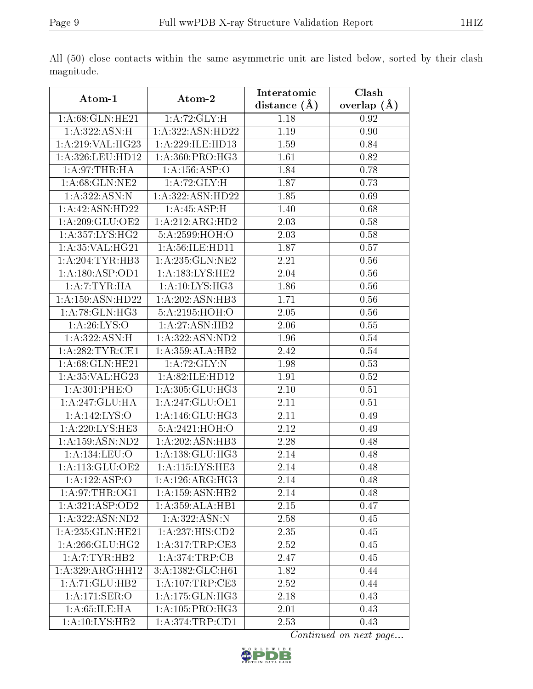|                            |                                 | Interatomic    | Clash         |
|----------------------------|---------------------------------|----------------|---------------|
| Atom-1                     | Atom-2                          | distance $(A)$ | overlap $(A)$ |
| 1: A:68: GLN: HE21         | 1: A:72: GLY:H                  | 1.18           | 0.92          |
| 1:A:322:ASN:H              | 1: A:322: ASN:HD22              | 1.19           | 0.90          |
| 1:A:219:VAL:HG23           | 1:A:229:ILE:HD13                | 1.59           | 0.84          |
| 1:A:326:LEU:HD12           | $1: A:360: PRO: \overline{HG3}$ | 1.61           | 0.82          |
| 1:A:97:THR:HA              | 1: A: 156: ASP:O                | 1.84           | 0.78          |
| 1: A:68: GLN:NE2           | 1: A:72: GLY: H                 | 1.87           | 0.73          |
| 1:A:322:ASN:N              | 1:A:322:ASN:HD22                | 1.85           | 0.69          |
| 1: A: 42: ASN: HD22        | 1:A:45:ASP:H                    | 1.40           | 0.68          |
| 1: A:209: GLU:OE2          | 1:A:212:ARG:HD2                 | 2.03           | 0.58          |
| 1: A: 357: LYS: HG2        | 5:A:2599:HOH:O                  | 2.03           | 0.58          |
| 1:A:35:VAL:HG21            | 1:A:56:ILE:HD11                 | 1.87           | 0.57          |
| 1:A:204:TYR:HB3            | 1: A:235: GLN: NE2              | 2.21           | 0.56          |
| 1:A:180:ASP:OD1            | 1: A: 183: LYS: HE2             | 2.04           | 0.56          |
| 1:A:7:TYR:HA               | 1: A:10: LYS: HG3               | 1.86           | 0.56          |
| 1: A: 159: ASN: HD22       | 1:A:202:ASN:HB3                 | 1.71           | 0.56          |
| 1:A:78:GLN:HG3             | 5:A:2195:HOH:O                  | 2.05           | 0.56          |
| 1: A:26: LYS:O             | 1:A:27:ASN:HB2                  | 2.06           | 0.55          |
| 1:A:322:ASN:H              | 1:A:322:ASN:ND2                 | 1.96           | 0.54          |
| 1: A:282:TYR:CE1           | 1:A:359:ALA:HB2                 | 2.42           | 0.54          |
| 1: A:68: GLN: HE21         | 1:A:72:GLY:N                    | 1.98           | 0.53          |
| 1: A:35: VAL:HG23          | 1:A:82:ILE:HD12                 | 1.91           | 0.52          |
| 1:A:301:PHE:O              | 1:A:305:GLU:HG3                 | 2.10           | 0.51          |
| 1:A:247:GLU:HA             | 1:A:247:GLU:OE1                 | 2.11           | 0.51          |
| 1:A:142:LYS:O              | 1: A:146: GLU:HG3               | 2.11           | 0.49          |
| 1: A:220: LYS: HE3         | 5:A:2421:HOH:O                  | 2.12           | 0.49          |
| $1:$ A:159:ASN:ND2         | 1:A:202:ASN:HB3                 | 2.28           | 0.48          |
| 1:A:134:LEU:O              | 1:A:138:GLU:HG3                 | 2.14           | 0.48          |
| 1:A:113:GLU:OE2            | 1:A:115:LYS:HE3                 | 2.14           | 0.48          |
| $1:A:122:A\overline{SP:O}$ | 1: A:126: ARG: HG3              | 2.14           | 0.48          |
| 1: A:97:THR:OG1            | 1: A: 159: ASN: HB2             | 2.14           | 0.48          |
| 1:A:321:ASP:OD2            | 1:A:359:ALA:HB1                 | 2.15           | 0.47          |
| 1: A: 322: ASN: ND2        | 1:A:322:ASN:N                   | 2.58           | 0.45          |
| 1:A:235:GLN:HE21           | 1: A:237: HIS: CD2              | 2.35           | 0.45          |
| 1: A:266: GLU:HG2          | 1: A:317:TRP:CE3                | 2.52           | 0.45          |
| 1: A: 7: TYR: HB2          | 1:A:374:TRP:CB                  | 2.47           | 0.45          |
| 1:A:329:ARG:HH12           | 3:A:1382:GLC:H61                | 1.82           | 0.44          |
| 1: A:71: GLU:HB2           | 1:A:107:TRP:CE3                 | 2.52           | 0.44          |
| 1:A:171:SER:O              | 1: A:175: GLN: HG3              | 2.18           | 0.43          |
| 1: A:65:ILE: HA            | 1:A:105:PRO:H <sub>G3</sub>     | 2.01           | 0.43          |
| 1:A:10:LYS:HB2             | 1: A:374:TRP:CD1                | 2.53           | 0.43          |

All (50) close contacts within the same asymmetric unit are listed below, sorted by their clash magnitude.

Continued on next page...

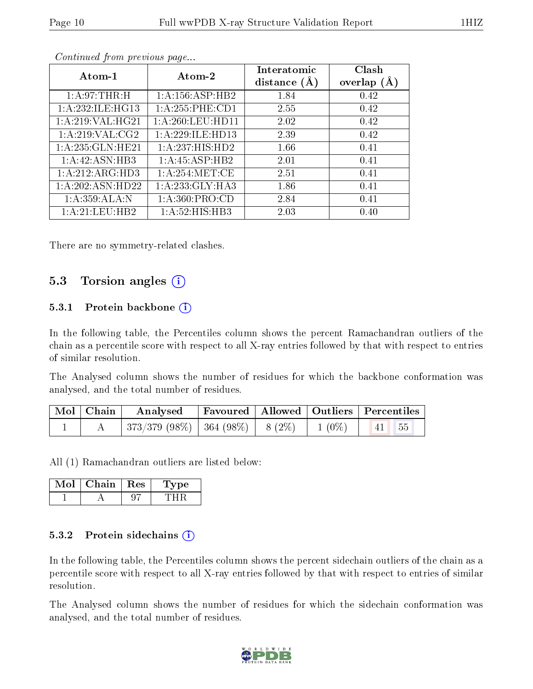| Atom-1               | Atom-2              | Interatomic<br>distance $(A)$ | Clash<br>overlap $(A)$ |
|----------------------|---------------------|-------------------------------|------------------------|
| 1: A:97:THR:H        | 1:A:156:ASP:HB2     | 1.84                          | 0.42                   |
| 1: A: 232: ILE: HG13 | 1:A:255:PHE:CD1     | 2.55                          | 0.42                   |
| 1:A:219:VAL:HG21     | 1: A:260:LEU:HD11   | 2.02                          | 0.42                   |
| 1:A:219:VAL:CG2      | 1: A:229: ILE: HD13 | 2.39                          | 0.42                   |
| 1: A:235: GLN: HE21  | 1:A:237:HIS:HD2     | 1.66                          | 0.41                   |
| 1:A:42:ASN:HB3       | 1:A:45:ASP:HB2      | 2.01                          | 0.41                   |
| 1:A:212:ARG:HD3      | 1: A:254:MET:CE     | 2.51                          | 0.41                   |
| 1: A:202: ASN:HD22   | 1:A:233:GLY:HA3     | 1.86                          | 0.41                   |
| 1: A:359: ALA:N      | 1: A:360: PRO:CD    | 2.84                          | 0.41                   |
| 1:A:21:LEU:HB2       | 1:A:52:HIS:HB3      | 2.03                          | 0.40                   |

Continued from previous page...

There are no symmetry-related clashes.

### 5.3 Torsion angles (i)

### 5.3.1 Protein backbone  $(i)$

In the following table, the Percentiles column shows the percent Ramachandran outliers of the chain as a percentile score with respect to all X-ray entries followed by that with respect to entries of similar resolution.

The Analysed column shows the number of residues for which the backbone conformation was analysed, and the total number of residues.

| $\mid$ Mol $\mid$ Chain $\mid$ | Analysed   Favoured   Allowed   Outliers   Percentiles                         |  |  |  |
|--------------------------------|--------------------------------------------------------------------------------|--|--|--|
|                                | $\mid$ 373/379 (98%) $\mid$ 364 (98%) $\mid$ 8 (2%) $\mid$ 1 (0%) $\mid$ 41 55 |  |  |  |

All (1) Ramachandran outliers are listed below:

| Chain | Res | ъe |
|-------|-----|----|
|       |     |    |

### 5.3.2 Protein sidechains  $(i)$

In the following table, the Percentiles column shows the percent sidechain outliers of the chain as a percentile score with respect to all X-ray entries followed by that with respect to entries of similar resolution.

The Analysed column shows the number of residues for which the sidechain conformation was analysed, and the total number of residues.

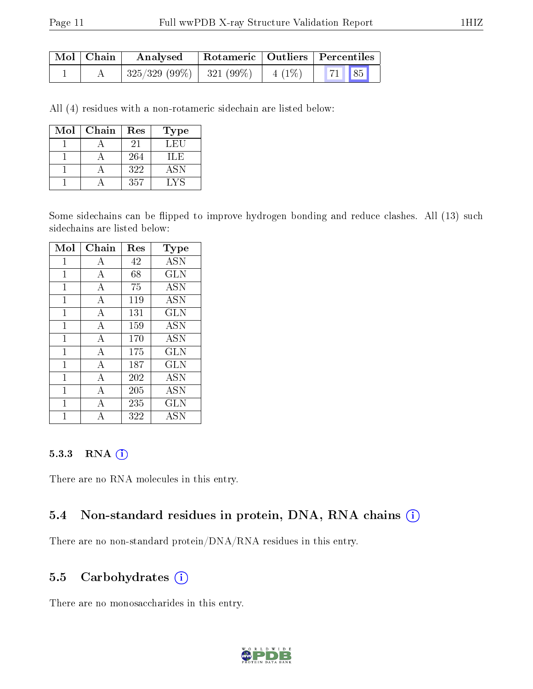| Mol   Chain | Analysed                   |          | Rotameric   Outliers   Percentiles |  |  |
|-------------|----------------------------|----------|------------------------------------|--|--|
|             | $325/329(99\%)$ 321 (99\%) | $4(1\%)$ | 71 85                              |  |  |

All (4) residues with a non-rotameric sidechain are listed below:

| Mol | Chain | Res | <b>Type</b> |
|-----|-------|-----|-------------|
|     |       | 21  | LEU         |
|     |       | 264 | ILE         |
|     |       | 322 | <b>ASN</b>  |
|     |       | 357 | LYS         |

Some sidechains can be flipped to improve hydrogen bonding and reduce clashes. All (13) such sidechains are listed below:

| Mol          | Chain          | Res | Type       |
|--------------|----------------|-----|------------|
| 1            | A              | 42  | <b>ASN</b> |
| $\mathbf{1}$ | A              | 68  | <b>GLN</b> |
| 1            | А              | 75  | <b>ASN</b> |
| $\mathbf 1$  | $\overline{A}$ | 119 | ASN        |
| $\mathbf{1}$ | $\overline{A}$ | 131 | <b>GLN</b> |
| 1            | А              | 159 | ASN        |
| 1            | $\overline{A}$ | 170 | <b>ASN</b> |
| $\mathbf{1}$ | $\overline{A}$ | 175 | <b>GLN</b> |
| $\mathbf 1$  | А              | 187 | <b>GLN</b> |
| 1            | $\overline{A}$ | 202 | ASN        |
| 1            | $\mathbf{A}$   | 205 | <b>ASN</b> |
| 1            | А              | 235 | <b>GLN</b> |
|              | Δ              | 322 | <b>ASN</b> |

#### 5.3.3 RNA (1)

There are no RNA molecules in this entry.

### 5.4 Non-standard residues in protein, DNA, RNA chains (i)

There are no non-standard protein/DNA/RNA residues in this entry.

### 5.5 Carbohydrates (i)

There are no monosaccharides in this entry.

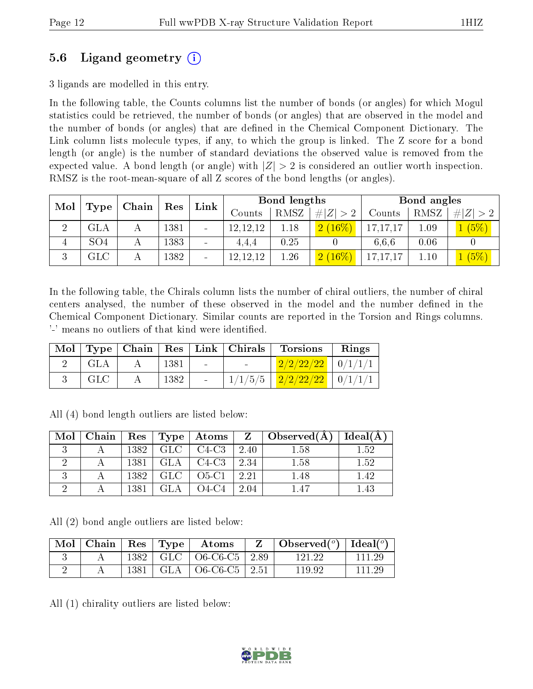# 5.6 Ligand geometry (i)

3 ligands are modelled in this entry.

In the following table, the Counts columns list the number of bonds (or angles) for which Mogul statistics could be retrieved, the number of bonds (or angles) that are observed in the model and the number of bonds (or angles) that are dened in the Chemical Component Dictionary. The Link column lists molecule types, if any, to which the group is linked. The Z score for a bond length (or angle) is the number of standard deviations the observed value is removed from the expected value. A bond length (or angle) with  $|Z| > 2$  is considered an outlier worth inspection. RMSZ is the root-mean-square of all Z scores of the bond lengths (or angles).

| Mol<br>Type |                   | Chain |      | Res                      |            |      | Link        | Bond lengths |      |             | Bond angles |  |  |
|-------------|-------------------|-------|------|--------------------------|------------|------|-------------|--------------|------|-------------|-------------|--|--|
|             |                   |       |      |                          | Counts     | RMSZ | # $ Z  > 2$ | Counts       | RMSZ | # $ Z  > 2$ |             |  |  |
| ച<br>↩      | $_{\rm GLA}$      | А     | 1381 | $\blacksquare$           | 12, 12, 12 | 1.18 | (2 (16%)    | 17, 17, 17   | 1.09 | (5%)        |             |  |  |
|             | SO <sub>4</sub>   |       | 1383 | $\overline{\phantom{0}}$ | 4.4.4      | 0.25 |             | 6,6,6        | 0.06 |             |             |  |  |
| ച<br>k)     | $_{\mathrm{GLC}}$ | А     | 1382 | $\equiv$                 | 12, 12, 12 | 1.26 | $2(16\%)$   | 17, 17, 17   | 1.10 | $(5\%)$     |             |  |  |

In the following table, the Chirals column lists the number of chiral outliers, the number of chiral centers analysed, the number of these observed in the model and the number defined in the Chemical Component Dictionary. Similar counts are reported in the Torsion and Rings columns. '-' means no outliers of that kind were identified.

|     |      |        | $\text{Mol}$   Type   Chain   Res   Link   Chirals | Torsions                            | Rings |
|-----|------|--------|----------------------------------------------------|-------------------------------------|-------|
| GLA | 1381 | $\sim$ |                                                    | $2/2/22/22$   0/1/1/1               |       |
| GLC | 1382 |        |                                                    | $1/1/5/5$   $2/2/22/22$   $0/1/1/1$ |       |

| Mol | Chain |      |            | Res   Type   Atoms |      | $Z \mid Observed(A)$ | Ideal(A) |
|-----|-------|------|------------|--------------------|------|----------------------|----------|
|     |       | 1382 | GLC        | C4-C3              | 2.40 | 1.58                 | l.52     |
|     |       | 1381 | GLA        | $C4-C3$            | 2.34 | 1.58                 | $1.52\,$ |
|     |       | 1382 | <b>GLC</b> | $O5-C1$            | 2.21 | 1.48                 |          |
|     |       | 1381 |            | O4-C4              | 2.04 | 1.47                 |          |

All (4) bond length outliers are listed below:

All (2) bond angle outliers are listed below:

|  |  | $\mid$ Mol $\mid$ Chain $\mid$ Res $\mid$ Type $\mid$ Atoms | $Z \parallel$ Observed( <sup>o</sup> )   Ideal( <sup>o</sup> ) |        |
|--|--|-------------------------------------------------------------|----------------------------------------------------------------|--------|
|  |  | $1382$   GLC   O6-C6-C5   2.89                              | 121.22                                                         | 111 29 |
|  |  | $1381$   GLA   O6-C6-C5   2.51                              | 119.92                                                         | 111 29 |

All (1) chirality outliers are listed below:

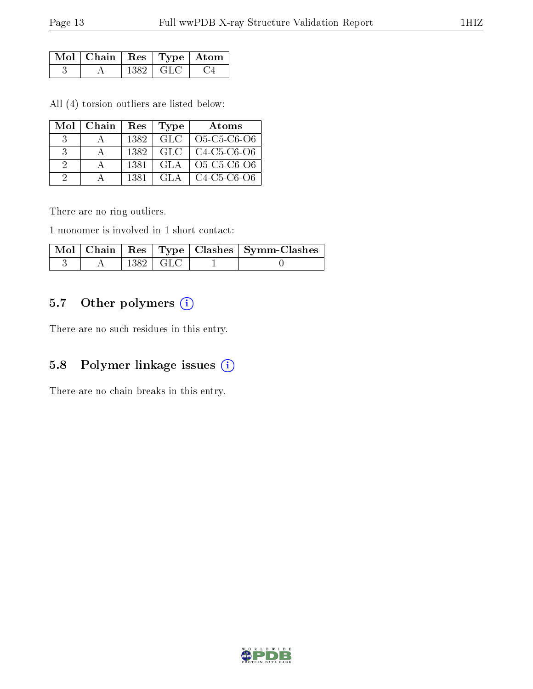| Mol   Chain   Res   Type   Atom |     |       |  |
|---------------------------------|-----|-------|--|
|                                 | 382 | - GLC |  |

All (4) torsion outliers are listed below:

|               | $Mol$   Chain | Res  | Type   | Atoms       |
|---------------|---------------|------|--------|-------------|
|               |               | 1382 | GLC.   | O5-C5-C6-O6 |
| $\mathcal{R}$ |               | 1382 | -GLC - | C4-C5-C6-O6 |
| $\Omega$      |               | 1381 | GLA.   | O5-C5-C6-O6 |
| $\Omega$      |               | 1381 | GLA –  | C4-C5-C6-O6 |

There are no ring outliers.

1 monomer is involved in 1 short contact:

|  |                  | Mol   Chain   Res   Type   Clashes   Symm-Clashes |
|--|------------------|---------------------------------------------------|
|  | $1382 \perp GLC$ |                                                   |

# 5.7 [O](https://www.wwpdb.org/validation/2017/XrayValidationReportHelp#nonstandard_residues_and_ligands)ther polymers (i)

There are no such residues in this entry.

# 5.8 Polymer linkage issues (i)

There are no chain breaks in this entry.

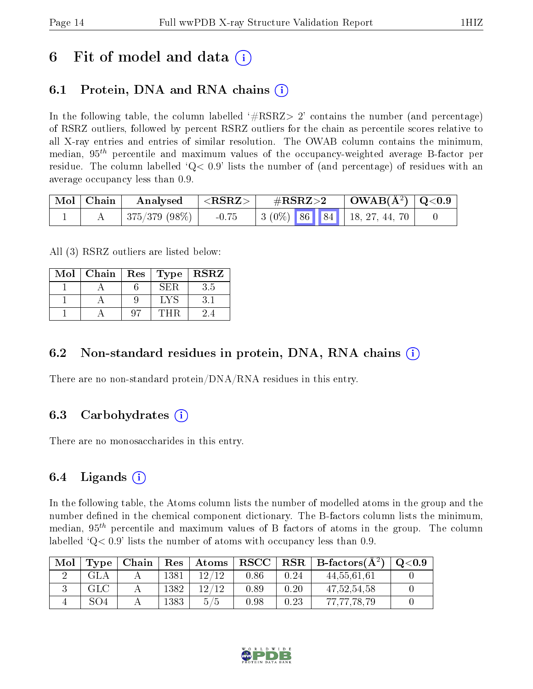# 6 Fit of model and data  $\left( \cdot \right)$

# 6.1 Protein, DNA and RNA chains (i)

In the following table, the column labelled  $#RSRZ>2'$  contains the number (and percentage) of RSRZ outliers, followed by percent RSRZ outliers for the chain as percentile scores relative to all X-ray entries and entries of similar resolution. The OWAB column contains the minimum, median,  $95<sup>th</sup>$  percentile and maximum values of the occupancy-weighted average B-factor per residue. The column labelled  $Q< 0.9$  lists the number of (and percentage) of residues with an average occupancy less than 0.9.

| Mol   Chain | $\mid$ Analysed $\mid$ <rsrz> <math>\mid</math></rsrz> |         | $\rm \#RSRZ{>}2$ |  | $\vert$ OWAB(Å <sup>2</sup> ) $\vert$ Q<0.9 $\vert$            |  |
|-------------|--------------------------------------------------------|---------|------------------|--|----------------------------------------------------------------|--|
|             | $\pm$ 375/379 (98%) $\pm$                              | $-0.75$ |                  |  | $\vert 3 \ (0\%) \ \vert 86 \ \vert 84 \ \vert 18, 27, 44, 70$ |  |

All (3) RSRZ outliers are listed below:

| Mol | Chain   Res |      | $Type   RSR\overline{Z}$ |
|-----|-------------|------|--------------------------|
|     |             | √H.R | 3.5                      |
|     |             |      |                          |
|     |             |      |                          |

### 6.2 Non-standard residues in protein, DNA, RNA chains  $(i)$

There are no non-standard protein/DNA/RNA residues in this entry.

### 6.3 Carbohydrates (i)

There are no monosaccharides in this entry.

### 6.4 Ligands  $(i)$

In the following table, the Atoms column lists the number of modelled atoms in the group and the number defined in the chemical component dictionary. The B-factors column lists the minimum, median,  $95<sup>th</sup>$  percentile and maximum values of B factors of atoms in the group. The column labelled  $Q< 0.9$  lists the number of atoms with occupancy less than 0.9.

| Mol | Type | Chain |      | $Res$   Atoms | $\bf RSCC$ |      | $\perp$ RSR $\parallel$ B-factors( $\rm \AA^2)$ ) | $\rm{O} \textcolor{black}{<} 0.9$ |
|-----|------|-------|------|---------------|------------|------|---------------------------------------------------|-----------------------------------|
|     | GLA  |       | 1381 | 19/19         | 0.86       | 0.24 | 44,55,61,61                                       |                                   |
|     | GLC  |       | 1382 | 19/19         | 0.89       | 0.20 | 47, 52, 54, 58                                    |                                   |
|     | 304  |       | 1383 | 5/5           | 0.98       | 0.23 | 77,77,78,79                                       |                                   |